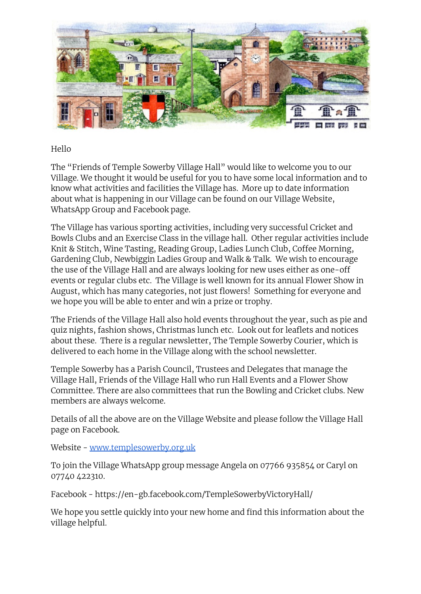

## Hello

The "Friends of Temple Sowerby Village Hall" would like to welcome you to our Village. We thought it would be useful for you to have some local information and to know what activities and facilities the Village has. More up to date information about what is happening in our Village can be found on our Village Website, WhatsApp Group and Facebook page.

The Village has various sporting activities, including very successful Cricket and Bowls Clubs and an Exercise Class in the village hall. Other regular activities include Knit & Stitch, Wine Tasting, Reading Group, Ladies Lunch Club, Coffee Morning, Gardening Club, Newbiggin Ladies Group and Walk & Talk. We wish to encourage the use of the Village Hall and are always looking for new uses either as one-off events or regular clubs etc. The Village is well known for its annual Flower Show in August, which has many categories, not just flowers! Something for everyone and we hope you will be able to enter and win a prize or trophy.

The Friends of the Village Hall also hold events throughout the year, such as pie and quiz nights, fashion shows, Christmas lunch etc. Look out for leaflets and notices about these. There is a regular newsletter, The Temple Sowerby Courier, which is delivered to each home in the Village along with the school newsletter.

Temple Sowerby has a Parish Council, Trustees and Delegates that manage the Village Hall, Friends of the Village Hall who run Hall Events and a Flower Show Committee. There are also committees that run the Bowling and Cricket clubs. New members are always welcome.

Details of all the above are on the Village Website and please follow the Village Hall page on Facebook.

Website - [www.templesowerby.org.uk](http://www.templesowerby.org.uk)

To join the Village WhatsApp group message Angela on 07766 935854 or Caryl on 07740 422310.

Facebook - https://en-gb.facebook.com/TempleSowerbyVictoryHall/

We hope you settle quickly into your new home and find this information about the village helpful.